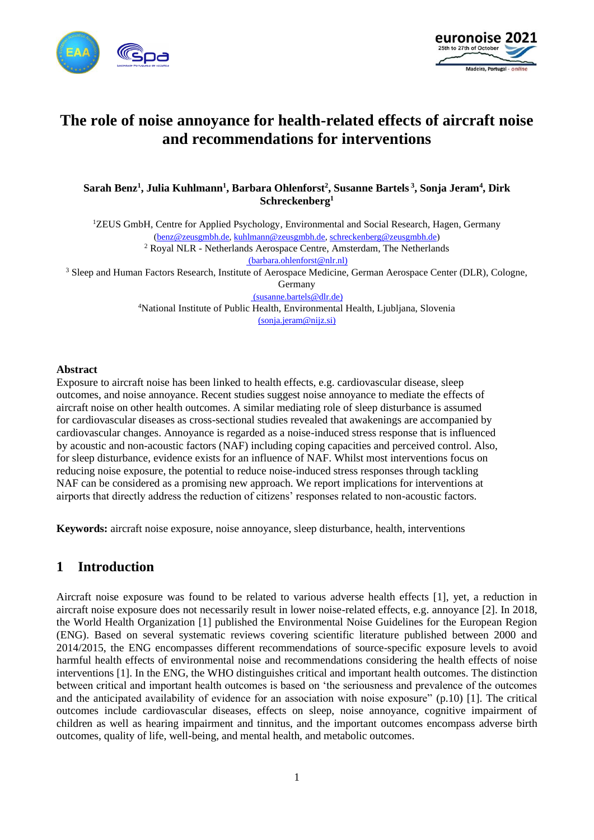



# **The role of noise annoyance for health-related effects of aircraft noise and recommendations for interventions**

**Sarah Benz<sup>1</sup> , Julia Kuhlmann<sup>1</sup> , Barbara Ohlenforst<sup>2</sup> , Susanne Bartels <sup>3</sup> , Sonja Jeram<sup>4</sup> , Dirk Schreckenberg<sup>1</sup>**

<sup>1</sup>ZEUS GmbH, Centre for Applied Psychology, Environmental and Social Research, Hagen, Germany [\(benz@zeusgmbh.de,](mailto:benz@zeusgmbh.de) [kuhlmann@zeusgmbh.de,](mailto:kuhlmann@zeusgmbh.de) [schreckenberg@zeusgmbh.de\)](mailto:schreckenberg@zeusgmbh.de) <sup>2</sup> Royal NLR - Netherlands Aerospace Centre, Amsterdam, The Netherlands

[\(barbara.ohlenforst@nlr.nl\)](mailto:barbara.ohlenforst@nlr.nl)

<sup>3</sup> Sleep and Human Factors Research, Institute of Aerospace Medicine, German Aerospace Center (DLR), Cologne,

Germany

[\(susanne.bartels@dlr.de\)](mailto:susanne.bartels@dlr.de) <sup>4</sup>National Institute of Public Health, Environmental Health, Ljubljana, Slovenia [\(sonja.jeram@nijz.si\)](mailto:sonja.jeram@nijz.si)

#### **Abstract**

Exposure to aircraft noise has been linked to health effects, e.g. cardiovascular disease, sleep outcomes, and noise annoyance. Recent studies suggest noise annoyance to mediate the effects of aircraft noise on other health outcomes. A similar mediating role of sleep disturbance is assumed for cardiovascular diseases as cross-sectional studies revealed that awakenings are accompanied by cardiovascular changes. Annoyance is regarded as a noise-induced stress response that is influenced by acoustic and non-acoustic factors (NAF) including coping capacities and perceived control. Also, for sleep disturbance, evidence exists for an influence of NAF. Whilst most interventions focus on reducing noise exposure, the potential to reduce noise-induced stress responses through tackling NAF can be considered as a promising new approach. We report implications for interventions at airports that directly address the reduction of citizens' responses related to non-acoustic factors.

**Keywords:** aircraft noise exposure, noise annoyance, sleep disturbance, health, interventions

## **1 Introduction**

Aircraft noise exposure was found to be related to various adverse health effects [\[1\],](#page-6-0) yet, a reduction in aircraft noise exposure does not necessarily result in lower noise-related effects, e.g. annoyance [\[2\].](#page-6-1) In 2018, the World Health Organization [\[1\]](#page-6-0) published the Environmental Noise Guidelines for the European Region (ENG). Based on several systematic reviews covering scientific literature published between 2000 and 2014/2015, the ENG encompasses different recommendations of source-specific exposure levels to avoid harmful health effects of environmental noise and recommendations considering the health effects of noise interventions [\[1\].](#page-6-0) In the ENG, the WHO distinguishes critical and important health outcomes. The distinction between critical and important health outcomes is based on 'the seriousness and prevalence of the outcomes and the anticipated availability of evidence for an association with noise exposure" (p.10) [\[1\].](#page-6-0) The critical outcomes include cardiovascular diseases, effects on sleep, noise annoyance, cognitive impairment of children as well as hearing impairment and tinnitus, and the important outcomes encompass adverse birth outcomes, quality of life, well-being, and mental health, and metabolic outcomes.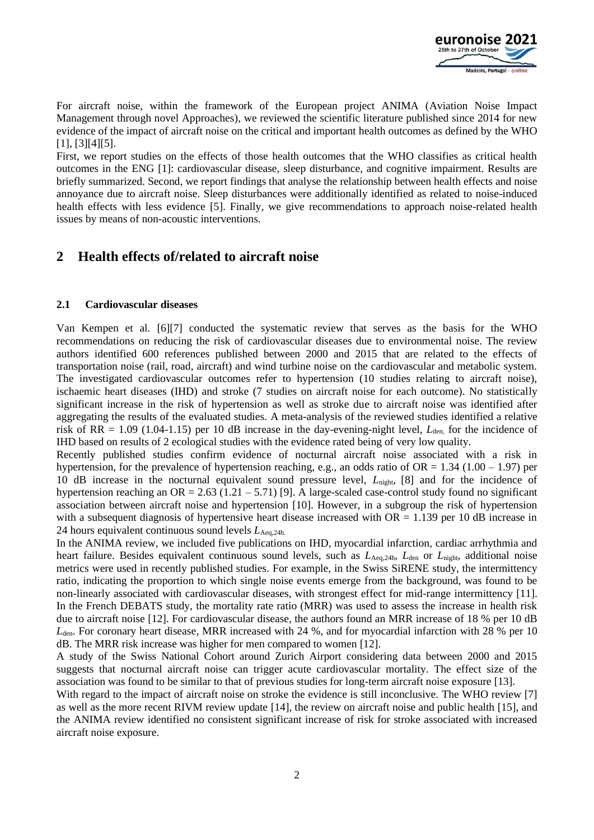

For aircraft noise, within the framework of the European project ANIMA (Aviation Noise Impact Management through novel Approaches), we reviewed the scientific literature published since 2014 for new evidence of the impact of aircraft noise on the critical and important health outcomes as defined by the WHO [\[1\],](#page-6-0) [\[3\]](#page-6-2)[\[4\]](#page-6-3)[\[5\].](#page-7-0)

First, we report studies on the effects of those health outcomes that the WHO classifies as critical health outcomes in the ENG [\[1\]:](#page-6-0) cardiovascular disease, sleep disturbance, and cognitive impairment. Results are briefly summarized. Second, we report findings that analyse the relationship between health effects and noise annoyance due to aircraft noise. Sleep disturbances were additionally identified as related to noise-induced health effects with less evidence [\[5\].](#page-7-0) Finally, we give recommendations to approach noise-related health issues by means of non-acoustic interventions.

# **2 Health effects of/related to aircraft noise**

#### **2.1 Cardiovascular diseases**

Van Kempen et al. [\[6\]](#page-7-1)[\[7\]](#page-7-2) conducted the systematic review that serves as the basis for the WHO recommendations on reducing the risk of cardiovascular diseases due to environmental noise. The review authors identified 600 references published between 2000 and 2015 that are related to the effects of transportation noise (rail, road, aircraft) and wind turbine noise on the cardiovascular and metabolic system. The investigated cardiovascular outcomes refer to hypertension (10 studies relating to aircraft noise), ischaemic heart diseases (IHD) and stroke (7 studies on aircraft noise for each outcome). No statistically significant increase in the risk of hypertension as well as stroke due to aircraft noise was identified after aggregating the results of the evaluated studies. A meta-analysis of the reviewed studies identified a relative risk of RR =  $1.09$  (1.04-1.15) per 10 dB increase in the day-evening-night level,  $L_{den}$  for the incidence of IHD based on results of 2 ecological studies with the evidence rated being of very low quality.

Recently published studies confirm evidence of nocturnal aircraft noise associated with a risk in hypertension, for the prevalence of hypertension reaching, e.g., an odds ratio of OR =  $1.34$  (1.00 – 1.97) per 10 dB increase in the nocturnal equivalent sound pressure level, *L*night, [\[8\]](#page-7-3) and for the incidence of hypertension reaching an  $OR = 2.63 (1.21 - 5.71)$  [\[9\].](#page-7-4) A large-scaled case-control study found no significant association between aircraft noise and hypertension [\[10\].](#page-7-5) However, in a subgroup the risk of hypertension with a subsequent diagnosis of hypertensive heart disease increased with  $OR = 1.139$  per 10 dB increase in 24 hours equivalent continuous sound levels *L*Aeq,24h.

In the ANIMA review, we included five publications on IHD, myocardial infarction, cardiac arrhythmia and heart failure. Besides equivalent continuous sound levels, such as  $L_{\text{Aeq,24h}}$ ,  $L_{\text{den}}$  or  $L_{\text{night}}$ , additional noise metrics were used in recently published studies. For example, in the Swiss SiRENE study, the intermittency ratio, indicating the proportion to which single noise events emerge from the background, was found to be non-linearly associated with cardiovascular diseases, with strongest effect for mid-range intermittency [\[11\].](#page-7-6) In the French DEBATS study, the mortality rate ratio (MRR) was used to assess the increase in health risk due to aircraft noise [\[12\].](#page-7-7) For cardiovascular disease, the authors found an MRR increase of 18 % per 10 dB *L*den. For coronary heart disease, MRR increased with 24 %, and for myocardial infarction with 28 % per 10 dB. The MRR risk increase was higher for men compared to women [\[12\].](#page-7-7)

A study of the Swiss National Cohort around Zurich Airport considering data between 2000 and 2015 suggests that nocturnal aircraft noise can trigger acute cardiovascular mortality. The effect size of the association was found to be similar to that of previous studies for long-term aircraft noise exposure [\[13\].](#page-7-8)

With regard to the impact of aircraft noise on stroke the evidence is still inconclusive. The WHO review [\[7\]](#page-7-2) as well as the more recent RIVM review update [\[14\],](#page-7-9) the review on aircraft noise and public health [\[15\],](#page-7-10) and the ANIMA review identified no consistent significant increase of risk for stroke associated with increased aircraft noise exposure.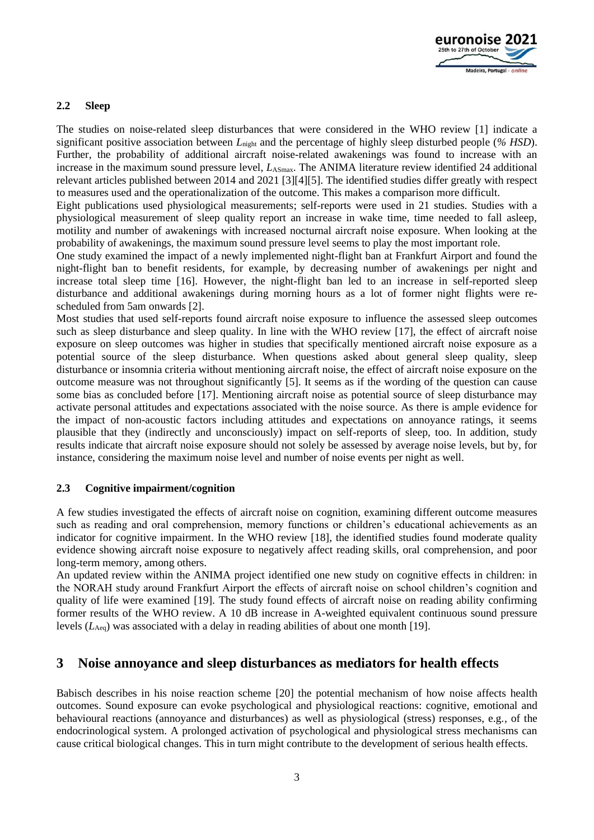

#### **2.2 Sleep**

The studies on noise-related sleep disturbances that were considered in the WHO review [\[1\]](#page-6-0) indicate a significant positive association between *L*night and the percentage of highly sleep disturbed people (*% HSD*). Further, the probability of additional aircraft noise-related awakenings was found to increase with an increase in the maximum sound pressure level,  $L_{\text{ASmax}}$ . The ANIMA literature review identified 24 additional relevant articles published between 2014 and 2021 [\[3\]](#page-6-2)[\[4\]](#page-6-3)[\[5\].](#page-7-0) The identified studies differ greatly with respect to measures used and the operationalization of the outcome. This makes a comparison more difficult.

Eight publications used physiological measurements; self-reports were used in 21 studies. Studies with a physiological measurement of sleep quality report an increase in wake time, time needed to fall asleep, motility and number of awakenings with increased nocturnal aircraft noise exposure. When looking at the probability of awakenings, the maximum sound pressure level seems to play the most important role.

One study examined the impact of a newly implemented night-flight ban at Frankfurt Airport and found the night-flight ban to benefit residents, for example, by decreasing number of awakenings per night and increase total sleep time [\[16\].](#page-7-11) However, the night-flight ban led to an increase in self-reported sleep disturbance and additional awakenings during morning hours as a lot of former night flights were rescheduled from 5am onwards [\[2\].](#page-6-1)

Most studies that used self-reports found aircraft noise exposure to influence the assessed sleep outcomes such as sleep disturbance and sleep quality. In line with the WHO review [\[17\],](#page-7-12) the effect of aircraft noise exposure on sleep outcomes was higher in studies that specifically mentioned aircraft noise exposure as a potential source of the sleep disturbance. When questions asked about general sleep quality, sleep disturbance or insomnia criteria without mentioning aircraft noise, the effect of aircraft noise exposure on the outcome measure was not throughout significantly [\[5\].](#page-7-0) It seems as if the wording of the question can cause some bias as concluded before [\[17\].](#page-7-12) Mentioning aircraft noise as potential source of sleep disturbance may activate personal attitudes and expectations associated with the noise source. As there is ample evidence for the impact of non-acoustic factors including attitudes and expectations on annoyance ratings, it seems plausible that they (indirectly and unconsciously) impact on self-reports of sleep, too. In addition, study results indicate that aircraft noise exposure should not solely be assessed by average noise levels, but by, for instance, considering the maximum noise level and number of noise events per night as well.

#### **2.3 Cognitive impairment/cognition**

A few studies investigated the effects of aircraft noise on cognition, examining different outcome measures such as reading and oral comprehension, memory functions or children's educational achievements as an indicator for cognitive impairment. In the WHO review [\[18\],](#page-7-13) the identified studies found moderate quality evidence showing aircraft noise exposure to negatively affect reading skills, oral comprehension, and poor long-term memory, among others.

An updated review within the ANIMA project identified one new study on cognitive effects in children: in the NORAH study around Frankfurt Airport the effects of aircraft noise on school children's cognition and quality of life were examined [\[19\].](#page-7-14) The study found effects of aircraft noise on reading ability confirming former results of the WHO review. A 10 dB increase in A-weighted equivalent continuous sound pressure levels (*L*Aeq) was associated with a delay in reading abilities of about one month [\[19\].](#page-7-14)

### **3 Noise annoyance and sleep disturbances as mediators for health effects**

Babisch describes in his noise reaction scheme [\[20\]](#page-7-15) the potential mechanism of how noise affects health outcomes. Sound exposure can evoke psychological and physiological reactions: cognitive, emotional and behavioural reactions (annoyance and disturbances) as well as physiological (stress) responses, e.g., of the endocrinological system. A prolonged activation of psychological and physiological stress mechanisms can cause critical biological changes. This in turn might contribute to the development of serious health effects.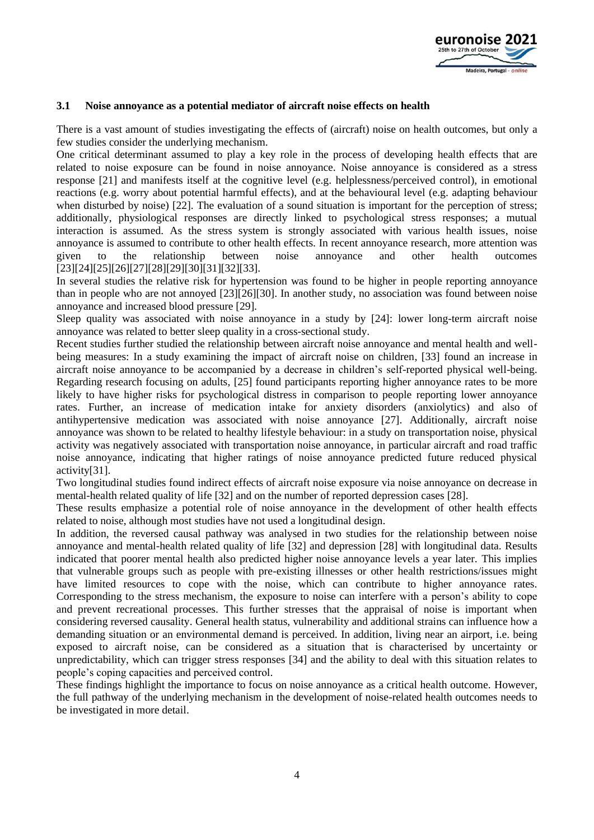

#### **3.1 Noise annoyance as a potential mediator of aircraft noise effects on health**

There is a vast amount of studies investigating the effects of (aircraft) noise on health outcomes, but only a few studies consider the underlying mechanism.

One critical determinant assumed to play a key role in the process of developing health effects that are related to noise exposure can be found in noise annoyance. Noise annoyance is considered as a stress response [\[21\]](#page-8-0) and manifests itself at the cognitive level (e.g. helplessness/perceived control), in emotional reactions (e.g. worry about potential harmful effects), and at the behavioural level (e.g. adapting behaviour when disturbed by noise) [\[22\].](#page-8-1) The evaluation of a sound situation is important for the perception of stress; additionally, physiological responses are directly linked to psychological stress responses; a mutual interaction is assumed. As the stress system is strongly associated with various health issues, noise annoyance is assumed to contribute to other health effects. In recent annoyance research, more attention was given to the relationship between noise annoyance and other health outcomes [\[23\]](#page-8-2)[\[24\]](#page-8-3)[\[25\]](#page-8-4)[\[26\]](#page-8-5)[\[27\]](#page-8-6)[\[28\]](#page-8-7)[\[29\]](#page-8-8)[\[30\]](#page-8-9)[\[31\]](#page-8-10)[\[32\]](#page-8-11)[\[33\].](#page-8-12)

In several studies the relative risk for hypertension was found to be higher in people reporting annoyance than in people who are not annoyed [\[23\]](#page-8-2)[\[26\]](#page-8-5)[\[30\].](#page-8-9) In another study, no association was found between noise annoyance and increased blood pressure [\[29\].](#page-8-8)

Sleep quality was associated with noise annoyance in a study by [\[24\]:](#page-8-3) lower long-term aircraft noise annoyance was related to better sleep quality in a cross-sectional study.

Recent studies further studied the relationship between aircraft noise annoyance and mental health and wellbeing measures: In a study examining the impact of aircraft noise on children, [\[33\]](#page-8-12) found an increase in aircraft noise annoyance to be accompanied by a decrease in children's self-reported physical well-being. Regarding research focusing on adults, [\[25\]](#page-8-4) found participants reporting higher annoyance rates to be more likely to have higher risks for psychological distress in comparison to people reporting lower annoyance rates. Further, an increase of medication intake for anxiety disorders (anxiolytics) and also of antihypertensive medication was associated with noise annoyance [\[27\].](#page-8-6) Additionally, aircraft noise annoyance was shown to be related to healthy lifestyle behaviour: in a study on transportation noise, physical activity was negatively associated with transportation noise annoyance, in particular aircraft and road traffic noise annoyance, indicating that higher ratings of noise annoyance predicted future reduced physical activit[y\[31\].](#page-8-10)

Two longitudinal studies found indirect effects of aircraft noise exposure via noise annoyance on decrease in mental-health related quality of life [\[32\]](#page-8-11) and on the number of reported depression cases [\[28\].](#page-8-7)

These results emphasize a potential role of noise annoyance in the development of other health effects related to noise, although most studies have not used a longitudinal design.

In addition, the reversed causal pathway was analysed in two studies for the relationship between noise annoyance and mental-health related quality of life [\[32\]](#page-8-11) and depression [\[28\]](#page-8-7) with longitudinal data. Results indicated that poorer mental health also predicted higher noise annoyance levels a year later. This implies that vulnerable groups such as people with pre-existing illnesses or other health restrictions/issues might have limited resources to cope with the noise, which can contribute to higher annoyance rates. Corresponding to the stress mechanism, the exposure to noise can interfere with a person's ability to cope and prevent recreational processes. This further stresses that the appraisal of noise is important when considering reversed causality. General health status, vulnerability and additional strains can influence how a demanding situation or an environmental demand is perceived. In addition, living near an airport, i.e. being exposed to aircraft noise, can be considered as a situation that is characterised by uncertainty or unpredictability, which can trigger stress responses [\[34\]](#page-8-13) and the ability to deal with this situation relates to people's coping capacities and perceived control.

These findings highlight the importance to focus on noise annoyance as a critical health outcome. However, the full pathway of the underlying mechanism in the development of noise-related health outcomes needs to be investigated in more detail.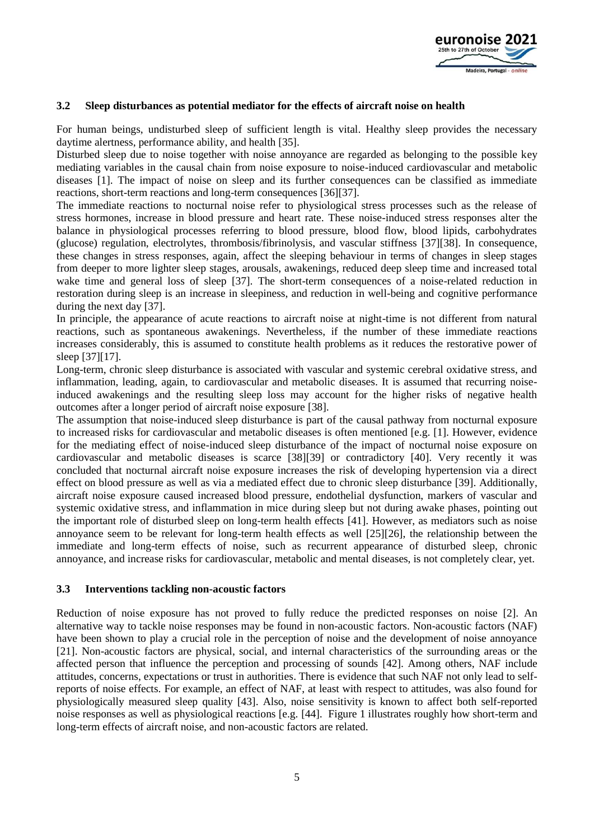

#### **3.2 Sleep disturbances as potential mediator for the effects of aircraft noise on health**

For human beings, undisturbed sleep of sufficient length is vital. Healthy sleep provides the necessary daytime alertness, performance ability, and health [\[35\].](#page-8-14)

Disturbed sleep due to noise together with noise annoyance are regarded as belonging to the possible key mediating variables in the causal chain from noise exposure to noise-induced cardiovascular and metabolic diseases [\[1\].](#page-6-0) The impact of noise on sleep and its further consequences can be classified as immediate reactions, short-term reactions and long-term consequences [\[36\]](#page-8-15)[\[37\].](#page-9-0)

The immediate reactions to nocturnal noise refer to physiological stress processes such as the release of stress hormones, increase in blood pressure and heart rate. These noise-induced stress responses alter the balance in physiological processes referring to blood pressure, blood flow, blood lipids, carbohydrates (glucose) regulation, electrolytes, thrombosis/fibrinolysis, and vascular stiffness [\[37\]](#page-9-0)[\[38\].](#page-9-1) In consequence, these changes in stress responses, again, affect the sleeping behaviour in terms of changes in sleep stages from deeper to more lighter sleep stages, arousals, awakenings, reduced deep sleep time and increased total wake time and general loss of sleep [\[37\].](#page-9-0) The short-term consequences of a noise-related reduction in restoration during sleep is an increase in sleepiness, and reduction in well-being and cognitive performance during the next day [\[37\].](#page-9-0)

In principle, the appearance of acute reactions to aircraft noise at night-time is not different from natural reactions, such as spontaneous awakenings. Nevertheless, if the number of these immediate reactions increases considerably, this is assumed to constitute health problems as it reduces the restorative power of sleep [\[37\]](#page-9-0)[\[17\].](#page-7-12)

Long-term, chronic sleep disturbance is associated with vascular and systemic cerebral oxidative stress, and inflammation, leading, again, to cardiovascular and metabolic diseases. It is assumed that recurring noiseinduced awakenings and the resulting sleep loss may account for the higher risks of negative health outcomes after a longer period of aircraft noise exposure [\[38\].](#page-9-1)

The assumption that noise-induced sleep disturbance is part of the causal pathway from nocturnal exposure to increased risks for cardiovascular and metabolic diseases is often mentioned [e.g. [\[1\].](#page-6-0) However, evidence for the mediating effect of noise-induced sleep disturbance of the impact of nocturnal noise exposure on cardiovascular and metabolic diseases is scarce [\[38\]](#page-9-1)[\[39\]](#page-9-2) or contradictory [\[40\].](#page-9-3) Very recently it was concluded that nocturnal aircraft noise exposure increases the risk of developing hypertension via a direct effect on blood pressure as well as via a mediated effect due to chronic sleep disturbance [\[39\].](#page-9-2) Additionally, aircraft noise exposure caused increased blood pressure, endothelial dysfunction, markers of vascular and systemic oxidative stress, and inflammation in mice during sleep but not during awake phases, pointing out the important role of disturbed sleep on long-term health effects [\[41\].](#page-9-4) However, as mediators such as noise annoyance seem to be relevant for long-term health effects as well [\[25\]](#page-8-4)[\[26\],](#page-8-5) the relationship between the immediate and long-term effects of noise, such as recurrent appearance of disturbed sleep, chronic annoyance, and increase risks for cardiovascular, metabolic and mental diseases, is not completely clear, yet.

#### **3.3 Interventions tackling non-acoustic factors**

Reduction of noise exposure has not proved to fully reduce the predicted responses on noise [\[2\].](#page-6-1) An alternative way to tackle noise responses may be found in non-acoustic factors. Non-acoustic factors (NAF) have been shown to play a crucial role in the perception of noise and the development of noise annoyance [\[21\].](#page-8-0) Non-acoustic factors are physical, social, and internal characteristics of the surrounding areas or the affected person that influence the perception and processing of sounds [\[42\].](#page-9-5) Among others, NAF include attitudes, concerns, expectations or trust in authorities. There is evidence that such NAF not only lead to selfreports of noise effects. For example, an effect of NAF, at least with respect to attitudes, was also found for physiologically measured sleep quality [\[43\].](#page-9-6) Also, noise sensitivity is known to affect both self-reported noise responses as well as physiological reactions [e.g. [\[44\].](#page-9-7) Figure 1 illustrates roughly how short-term and long-term effects of aircraft noise, and non-acoustic factors are related.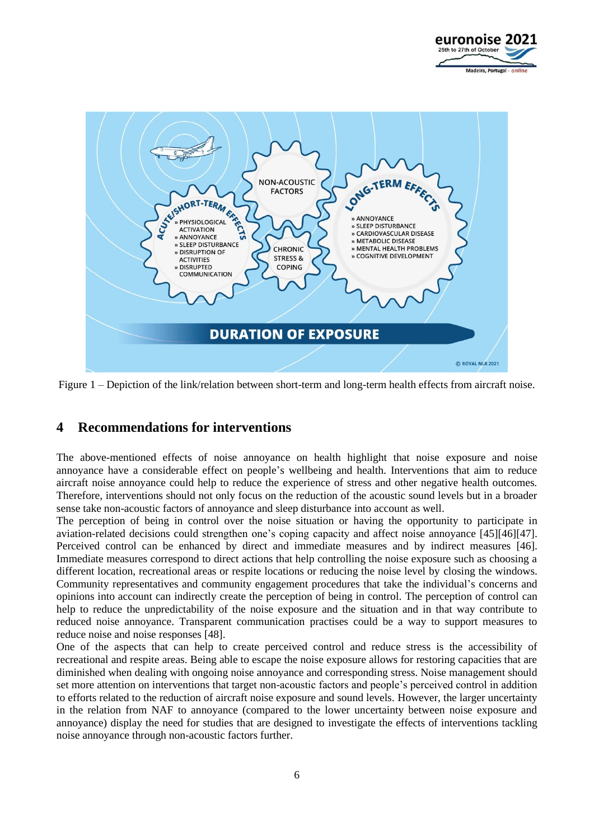



Figure 1 – Depiction of the link/relation between short-term and long-term health effects from aircraft noise.

# **4 Recommendations for interventions**

The above-mentioned effects of noise annoyance on health highlight that noise exposure and noise annoyance have a considerable effect on people's wellbeing and health. Interventions that aim to reduce aircraft noise annoyance could help to reduce the experience of stress and other negative health outcomes. Therefore, interventions should not only focus on the reduction of the acoustic sound levels but in a broader sense take non-acoustic factors of annoyance and sleep disturbance into account as well.

The perception of being in control over the noise situation or having the opportunity to participate in aviation-related decisions could strengthen one's coping capacity and affect noise annoyance [\[45\]](#page-9-8)[\[46\]](#page-9-9)[\[47\].](#page-9-10) Perceived control can be enhanced by direct and immediate measures and by indirect measures [\[46\].](#page-9-9) Immediate measures correspond to direct actions that help controlling the noise exposure such as choosing a different location, recreational areas or respite locations or reducing the noise level by closing the windows. Community representatives and community engagement procedures that take the individual's concerns and opinions into account can indirectly create the perception of being in control. The perception of control can help to reduce the unpredictability of the noise exposure and the situation and in that way contribute to reduced noise annoyance. Transparent communication practises could be a way to support measures to reduce noise and noise responses [\[48\].](#page-9-11)

One of the aspects that can help to create perceived control and reduce stress is the accessibility of recreational and respite areas. Being able to escape the noise exposure allows for restoring capacities that are diminished when dealing with ongoing noise annoyance and corresponding stress. Noise management should set more attention on interventions that target non-acoustic factors and people's perceived control in addition to efforts related to the reduction of aircraft noise exposure and sound levels. However, the larger uncertainty in the relation from NAF to annoyance (compared to the lower uncertainty between noise exposure and annoyance) display the need for studies that are designed to investigate the effects of interventions tackling noise annoyance through non-acoustic factors further.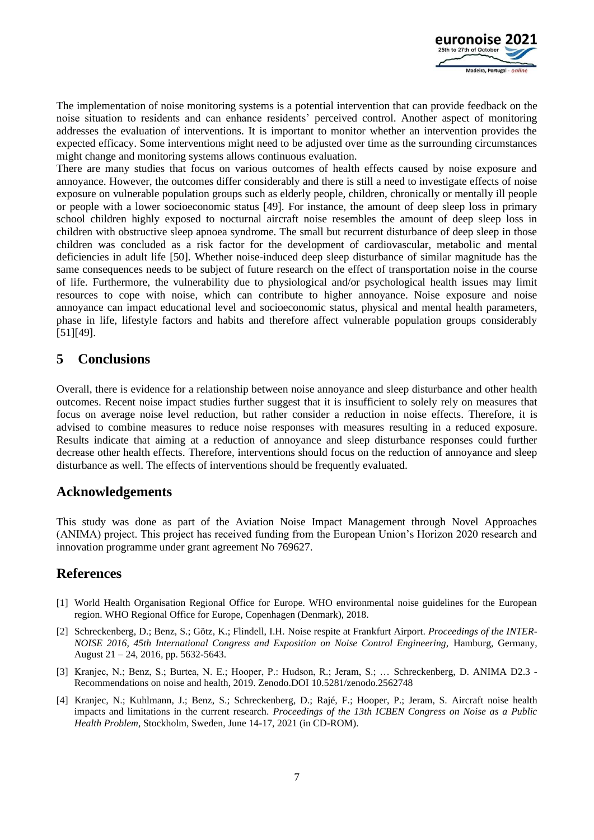

The implementation of noise monitoring systems is a potential intervention that can provide feedback on the noise situation to residents and can enhance residents' perceived control. Another aspect of monitoring addresses the evaluation of interventions. It is important to monitor whether an intervention provides the expected efficacy. Some interventions might need to be adjusted over time as the surrounding circumstances might change and monitoring systems allows continuous evaluation.

There are many studies that focus on various outcomes of health effects caused by noise exposure and annoyance. However, the outcomes differ considerably and there is still a need to investigate effects of noise exposure on vulnerable population groups such as elderly people, children, chronically or mentally ill people or people with a lower socioeconomic status [\[49\].](#page-9-12) For instance, the amount of deep sleep loss in primary school children highly exposed to nocturnal aircraft noise resembles the amount of deep sleep loss in children with obstructive sleep apnoea syndrome. The small but recurrent disturbance of deep sleep in those children was concluded as a risk factor for the development of cardiovascular, metabolic and mental deficiencies in adult life [\[50\].](#page-9-13) Whether noise-induced deep sleep disturbance of similar magnitude has the same consequences needs to be subject of future research on the effect of transportation noise in the course of life. Furthermore, the vulnerability due to physiological and/or psychological health issues may limit resources to cope with noise, which can contribute to higher annoyance. Noise exposure and noise annoyance can impact educational level and socioeconomic status, physical and mental health parameters, phase in life, lifestyle factors and habits and therefore affect vulnerable population groups considerably [\[51\]](#page-9-14)[\[49\].](#page-9-12)

### **5 Conclusions**

Overall, there is evidence for a relationship between noise annoyance and sleep disturbance and other health outcomes. Recent noise impact studies further suggest that it is insufficient to solely rely on measures that focus on average noise level reduction, but rather consider a reduction in noise effects. Therefore, it is advised to combine measures to reduce noise responses with measures resulting in a reduced exposure. Results indicate that aiming at a reduction of annoyance and sleep disturbance responses could further decrease other health effects. Therefore, interventions should focus on the reduction of annoyance and sleep disturbance as well. The effects of interventions should be frequently evaluated.

### **Acknowledgements**

This study was done as part of the Aviation Noise Impact Management through Novel Approaches (ANIMA) project. This project has received funding from the European Union's Horizon 2020 research and innovation programme under grant agreement No 769627.

## **References**

- <span id="page-6-0"></span>[1] World Health Organisation Regional Office for Europe. WHO environmental noise guidelines for the European region. WHO Regional Office for Europe, Copenhagen (Denmark), 2018.
- <span id="page-6-1"></span>[2] Schreckenberg, D.; Benz, S.; Götz, K.; Flindell, I.H. Noise respite at Frankfurt Airport. *Proceedings of the INTER-NOISE 2016, 45th International Congress and Exposition on Noise Control Engineering, Hamburg, Germany,* August 21 – 24, 2016*,* pp. 5632-5643.
- <span id="page-6-2"></span>[3] Kranjec, N.; Benz, S.; Burtea, N. E.; Hooper, P.: Hudson, R.; Jeram, S.; … Schreckenberg, D. ANIMA D2.3 - Recommendations on noise and health, 2019. Zenodo.DOI [10.5281/zenodo.2562748](https://doi.org/10.5281/zenodo.2562748)
- <span id="page-6-3"></span>[4] Kranjec, N.; Kuhlmann, J.; Benz, S.; Schreckenberg, D.; Rajé, F.; Hooper, P.; Jeram, S. Aircraft noise health impacts and limitations in the current research. *Proceedings of the 13th ICBEN Congress on Noise as a Public Health Problem*, Stockholm, Sweden, June 14-17, 2021 (in CD-ROM).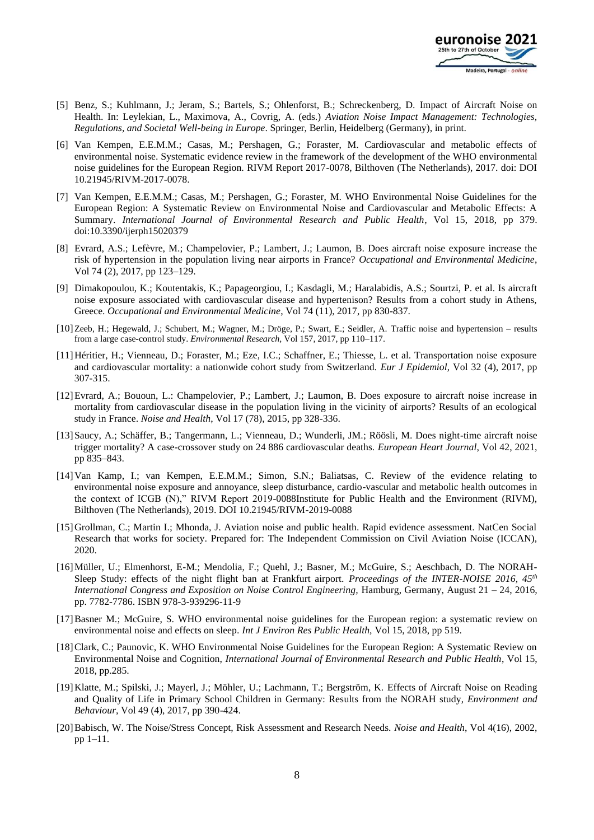

- <span id="page-7-0"></span>[5] Benz, S.; Kuhlmann, J.; Jeram, S.; Bartels, S.; Ohlenforst, B.; Schreckenberg, D. Impact of Aircraft Noise on Health. In: Leylekian, L., Maximova, A., Covrig, A. (eds.) *Aviation Noise Impact Management: Technologies, Regulations, and Societal Well-being in Europe*. Springer, Berlin, Heidelberg (Germany), in print.
- <span id="page-7-1"></span>[6] Van Kempen, E.E.M.M.; Casas, M.; Pershagen, G.; Foraster, M. Cardiovascular and metabolic effects of environmental noise. Systematic evidence review in the framework of the development of the WHO environmental noise guidelines for the European Region. RIVM Report 2017-0078, Bilthoven (The Netherlands), 2017. doi: DOI 10.21945/RIVM-2017-0078.
- <span id="page-7-2"></span>[7] Van Kempen, E.E.M.M.; Casas, M.; Pershagen, G.; Foraster, M. WHO Environmental Noise Guidelines for the European Region: A Systematic Review on Environmental Noise and Cardiovascular and Metabolic Effects: A Summary. *International Journal of Environmental Research and Public Health*, Vol 15, 2018, pp 379. doi:10.3390/ijerph15020379
- <span id="page-7-3"></span>[8] Evrard, A.S.; Lefèvre, M.; Champelovier, P.; Lambert, J.; Laumon, B. Does aircraft noise exposure increase the risk of hypertension in the population living near airports in France? *Occupational and Environmental Medicine*, Vol 74 (2), 2017, pp 123–129.
- <span id="page-7-4"></span>[9] Dimakopoulou, K.; Koutentakis, K.; Papageorgiou, I.; Kasdagli, M.; Haralabidis, A.S.; Sourtzi, P. et al. Is aircraft noise exposure associated with cardiovascular disease and hypertenison? Results from a cohort study in Athens, Greece. *Occupational and Environmental Medicine*, Vol 74 (11), 2017, pp 830-837.
- <span id="page-7-5"></span>[10]Zeeb, H.; Hegewald, J.; Schubert, M.; Wagner, M.; Dröge, P.; Swart, E.; Seidler, A. Traffic noise and hypertension – results from a large case-control study. *Environmental Research,* Vol 157, 2017, pp 110–117.
- <span id="page-7-6"></span>[11]Héritier, H.; Vienneau, D.; Foraster, M.; Eze, I.C.; Schaffner, E.; Thiesse, L. et al. Transportation noise exposure and cardiovascular mortality: a nationwide cohort study from Switzerland. *Eur J Epidemiol*, Vol 32 (4), 2017, pp 307-315.
- <span id="page-7-7"></span>[12]Evrard, A.; Bououn, L.: Champelovier, P.; Lambert, J.; Laumon, B. Does exposure to aircraft noise increase in mortality from cardiovascular disease in the population living in the vicinity of airports? Results of an ecological study in France. *Noise and Health*, Vol 17 (78), 2015, pp 328-336.
- <span id="page-7-8"></span>[13]Saucy, A.; Schäffer, B.; Tangermann, L.; Vienneau, D.; Wunderli, JM.; Röösli, M. Does night-time aircraft noise trigger mortality? A case-crossover study on 24 886 cardiovascular deaths. *European Heart Journal*, Vol 42, 2021, pp 835–843.
- <span id="page-7-9"></span>[14]Van Kamp, I.; van Kempen, E.E.M.M.; Simon, S.N.; Baliatsas, C. Review of the evidence relating to environmental noise exposure and annoyance, sleep disturbance, cardio-vascular and metabolic health outcomes in the context of ICGB (N)," RIVM Report 2019-0088Institute for Public Health and the Environment (RIVM), Bilthoven (The Netherlands), 2019. DOI 10.21945/RIVM-2019-0088
- <span id="page-7-10"></span>[15]Grollman, C.; Martin I.; Mhonda, J. Aviation noise and public health. Rapid evidence assessment. NatCen Social Research that works for society. Prepared for: The Independent Commission on Civil Aviation Noise (ICCAN), 2020.
- <span id="page-7-11"></span>[16]Müller, U.; Elmenhorst, E-M.; Mendolia, F.; Quehl, J.; Basner, M.; McGuire, S.; Aeschbach, D. The NORAH-Sleep Study: effects of the night flight ban at Frankfurt airport. *Proceedings of the INTER-NOISE 2016, 45th International Congress and Exposition on Noise Control Engineering, Hamburg, Germany, August 21 – 24, 2016,* pp. 7782-7786. ISBN 978-3-939296-11-9
- <span id="page-7-12"></span>[17]Basner M.; McGuire, S. WHO environmental noise guidelines for the European region: a systematic review on environmental noise and effects on sleep. *Int J Environ Res Public Health,* Vol 15, 2018, pp 519.
- <span id="page-7-13"></span>[18]Clark, C.; Paunovic, K. WHO Environmental Noise Guidelines for the European Region: A Systematic Review on Environmental Noise and Cognition, *International Journal of Environmental Research and Public Health*, Vol 15, 2018, pp.285.
- <span id="page-7-14"></span>[19]Klatte, M.; Spilski, J.; Mayerl, J.; Möhler, U.; Lachmann, T.; Bergström, K. Effects of Aircraft Noise on Reading and Quality of Life in Primary School Children in Germany: Results from the NORAH study, *Environment and Behaviour*, Vol 49 (4), 2017, pp 390-424.
- <span id="page-7-15"></span>[20]Babisch, W. The Noise/Stress Concept, Risk Assessment and Research Needs. *Noise and Health*, Vol 4(16), 2002, pp 1–11.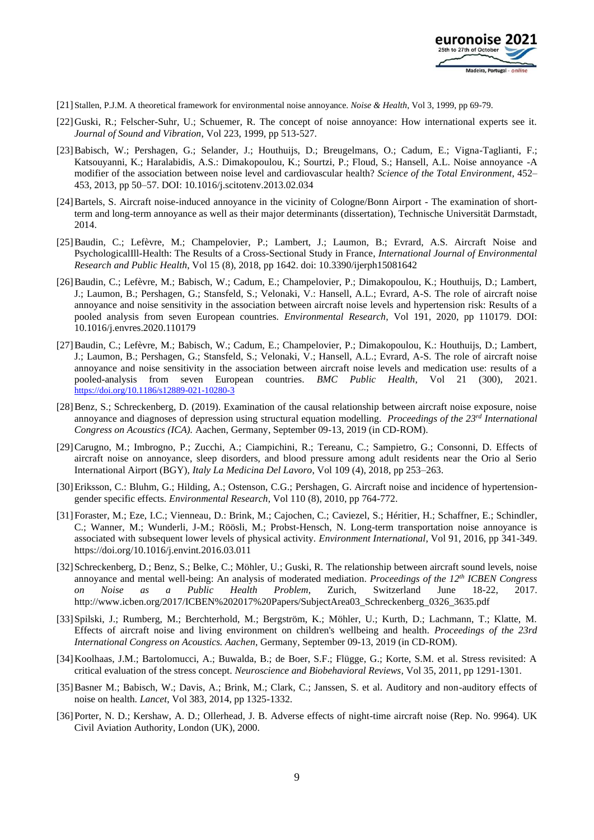

- <span id="page-8-0"></span>[21] Stallen, P.J.M. A theoretical framework for environmental noise annoyance. *Noise & Health*, Vol 3, 1999, pp 69-79.
- <span id="page-8-1"></span>[22]Guski, R.; Felscher-Suhr, U.; Schuemer, R. The concept of noise annoyance: How international experts see it. *Journal of Sound and Vibration*, Vol 223, 1999, pp 513-527.
- <span id="page-8-2"></span>[23]Babisch, W.; Pershagen, G.; Selander, J.; Houthuijs, D.; Breugelmans, O.; Cadum, E.; Vigna-Taglianti, F.; Katsouyanni, K.; Haralabidis, A.S.: Dimakopoulou, K.; Sourtzi, P.; Floud, S.; Hansell, A.L. Noise annoyance -A modifier of the association between noise level and cardiovascular health? *Science of the Total Environment*, 452– 453, 2013, pp 50–57. DOI: 10.1016/j.scitotenv.2013.02.034
- <span id="page-8-3"></span>[24]Bartels, S. Aircraft noise-induced annoyance in the vicinity of Cologne/Bonn Airport - The examination of shortterm and long-term annoyance as well as their major determinants (dissertation), Technische Universität Darmstadt, 2014.
- <span id="page-8-4"></span>[25]Baudin, C.; Lefèvre, M.; Champelovier, P.; Lambert, J.; Laumon, B.; Evrard, A.S. Aircraft Noise and PsychologicalIll-Health: The Results of a Cross-Sectional Study in France, *International Journal of Environmental Research and Public Health*, Vol 15 (8), 2018, pp 1642. doi: 10.3390/ijerph15081642
- <span id="page-8-5"></span>[26]Baudin, C.; Lefèvre, M.; Babisch, W.; Cadum, E.; Champelovier, P.; Dimakopoulou, K.; Houthuijs, D.; Lambert, J.; Laumon, B.; Pershagen, G.; Stansfeld, S.; Velonaki, V.: Hansell, A.L.; Evrard, A-S. The role of aircraft noise annoyance and noise sensitivity in the association between aircraft noise levels and hypertension risk: Results of a pooled analysis from seven European countries. *Environmental Research*, Vol 191, 2020, pp 110179. DOI: 10.1016/j.envres.2020.110179
- <span id="page-8-6"></span>[27]Baudin, C.; Lefèvre, M.; Babisch, W.; Cadum, E.; Champelovier, P.; Dimakopoulou, K.: Houthuijs, D.; Lambert, J.; Laumon, B.; Pershagen, G.; Stansfeld, S.; Velonaki, V.; Hansell, A.L.; Evrard, A-S. The role of aircraft noise annoyance and noise sensitivity in the association between aircraft noise levels and medication use: results of a pooled-analysis from seven European countries. *BMC Public Health*, Vol 21 (300), 2021. <https://doi.org/10.1186/s12889-021-10280-3>
- <span id="page-8-7"></span>[28]Benz, S.; Schreckenberg, D. (2019). Examination of the causal relationship between aircraft noise exposure, noise annoyance and diagnoses of depression using structural equation modelling. *Proceedings of the 23rd International Congress on Acoustics (ICA).* Aachen, Germany, September 09-13, 2019 (in CD-ROM).
- <span id="page-8-8"></span>[29]Carugno, M.; Imbrogno, P.; Zucchi, A.; Ciampichini, R.; Tereanu, C.; Sampietro, G.; Consonni, D. Effects of aircraft noise on annoyance, sleep disorders, and blood pressure among adult residents near the Orio al Serio International Airport (BGY), *Italy La Medicina Del Lavoro*, Vol 109 (4), 2018, pp 253–263.
- <span id="page-8-9"></span>[30]Eriksson, C.: Bluhm, G.; Hilding, A.; Ostenson, C.G.; Pershagen, G. Aircraft noise and incidence of hypertensiongender specific effects. *Environmental Research*, Vol 110 (8), 2010, pp 764-772.
- <span id="page-8-10"></span>[31]Foraster, M.; Eze, I.C.; Vienneau, D.: Brink, M.; Cajochen, C.; Caviezel, S.; Héritier, H.; Schaffner, E.; Schindler, C.; Wanner, M.; Wunderli, J-M.; Röösli, M.; Probst-Hensch, N. Long-term transportation noise annoyance is associated with subsequent lower levels of physical activity. *Environment International*, Vol 91, 2016, pp 341-349. https://doi.org/10.1016/j.envint.2016.03.011
- <span id="page-8-11"></span>[32] Schreckenberg, D.; Benz, S.; Belke, C.; Möhler, U.; Guski, R. The relationship between aircraft sound levels, noise annoyance and mental well-being: An analysis of moderated mediation. *Proceedings of the 12th ICBEN Congress on Noise as a Public Health Problem*, Zurich, Switzerland June 18-22, 201[7.](http://www.icben.org/2017/ICBEN%202017%20Papers/SubjectArea03_Schreckenberg_0326_3635.pdf) [http://www.icben.org/2017/ICBEN%202017%20Papers/SubjectArea03\\_Schreckenberg\\_0326\\_3635.pdf](http://www.icben.org/2017/ICBEN%202017%20Papers/SubjectArea03_Schreckenberg_0326_3635.pdf)
- <span id="page-8-12"></span>[33]Spilski, J.; Rumberg, M.; Berchterhold, M.; Bergström, K.; Möhler, U.; Kurth, D.; Lachmann, T.; Klatte, M. Effects of aircraft noise and living environment on children's wellbeing and health. *Proceedings of the 23rd International Congress on Acoustics. Aachen*, Germany, September 09-13, 2019 (in CD-ROM).
- <span id="page-8-13"></span>[34]Koolhaas, J.M.; Bartolomucci, A.; Buwalda, B.; de Boer, S.F.; Flügge, G.; Korte, S.M. et al. Stress revisited: A critical evaluation of the stress concept. *Neuroscience and Biobehavioral Reviews*, Vol 35, 2011, pp 1291-1301.
- <span id="page-8-14"></span>[35]Basner M.; Babisch, W.; Davis, A.; Brink, M.; Clark, C.; Janssen, S. et al. Auditory and non-auditory effects of noise on health. *Lancet*, Vol 383, 2014, pp 1325-1332.
- <span id="page-8-15"></span>[36]Porter, N. D.; Kershaw, A. D.; Ollerhead, J. B. Adverse effects of night-time aircraft noise (Rep. No. 9964). UK Civil Aviation Authority, London (UK), 2000.